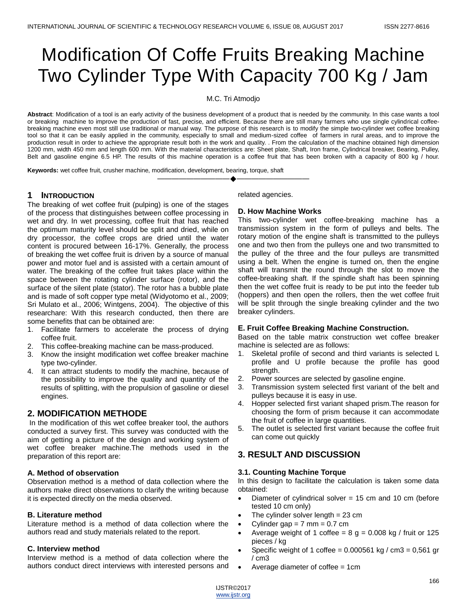# Modification Of Coffe Fruits Breaking Machine Two Cylinder Type With Capacity 700 Kg / Jam

M.C. Tri Atmodjo

**Abstract**: Modification of a tool is an early activity of the business development of a product that is needed by the community. In this case wants a tool or breaking machine to improve the production of fast, precise, and efficient. Because there are still many farmers who use single cylindrical coffeebreaking machine even most still use traditional or manual way. The purpose of this research is to modify the simple two-cylinder wet coffee breaking tool so that it can be easily applied in the community, especially to small and medium-sized coffee of farmers in rural areas, and to improve the production result in order to achieve the appropriate result both in the work and quality. . From the calculation of the machine obtained high dimension 1200 mm, width 450 mm and length 600 mm. With the material characteristics are: Sheet plate, Shaft, Iron frame, Cylindrical breaker, Bearing, Pulley, Belt and gasoline engine 6.5 HP. The results of this machine operation is a coffee fruit that has been broken with a capacity of 800 kg / hour.

————————————————————

**Keywords:** wet coffee fruit, crusher machine, modification, development, bearing, torque, shaft

# **1 INTRODUCTION**

The breaking of wet coffee fruit (pulping) is one of the stages of the process that distinguishes between coffee processing in wet and dry. In wet processing, coffee fruit that has reached the optimum maturity level should be split and dried, while on dry processor, the coffee crops are dried until the water content is procured between 16-17%. Generally, the process of breaking the wet coffee fruit is driven by a source of manual power and motor fuel and is assisted with a certain amount of water. The breaking of the coffee fruit takes place within the space between the rotating cylinder surface (rotor), and the surface of the silent plate (stator). The rotor has a bubble plate and is made of soft copper type metal (Widyotomo et al., 2009; Sri Mulato et al., 2006; Wintgens, 2004). The objective of this researchare: With this research conducted, then there are some benefits that can be obtained are:

- 1. Facilitate farmers to accelerate the process of drying coffee fruit.
- 2. This coffee-breaking machine can be mass-produced.
- 3. Know the insight modification wet coffee breaker machine type two-cylinder.
- 4. It can attract students to modify the machine, because of the possibility to improve the quality and quantity of the results of splitting, with the propulsion of gasoline or diesel engines.

# **2. MODIFICATION METHODE**

In the modification of this wet coffee breaker tool, the authors conducted a survey first. This survey was conducted with the aim of getting a picture of the design and working system of wet coffee breaker machine.The methods used in the preparation of this report are:

### **A. Method of observation**

Observation method is a method of data collection where the authors make direct observations to clarify the writing because it is expected directly on the media observed.

### **B. Literature method**

Literature method is a method of data collection where the authors read and study materials related to the report.

### **C. Interview method**

Interview method is a method of data collection where the authors conduct direct interviews with interested persons and related agencies.

### **D. How Machine Works**

This two-cylinder wet coffee-breaking machine has a transmission system in the form of pulleys and belts. The rotary motion of the engine shaft is transmitted to the pulleys one and two then from the pulleys one and two transmitted to the pulley of the three and the four pulleys are transmitted using a belt. When the engine is turned on, then the engine shaft will transmit the round through the slot to move the coffee-breaking shaft. If the spindle shaft has been spinning then the wet coffee fruit is ready to be put into the feeder tub (hoppers) and then open the rollers, then the wet coffee fruit will be split through the single breaking cylinder and the two breaker cylinders.

### **E. Fruit Coffee Breaking Machine Construction.**

Based on the table matrix construction wet coffee breaker machine is selected are as follows:

- 1. Skeletal profile of second and third variants is selected L profile and U profile because the profile has good strength.
- 2. Power sources are selected by gasoline engine.
- 3. Transmission system selected first variant of the belt and pulleys because it is easy in use.
- 4. Hopper selected first variant shaped prism.The reason for choosing the form of prism because it can accommodate the fruit of coffee in large quantities.
- 5. The outlet is selected first variant because the coffee fruit can come out quickly

# **3. RESULT AND DISCUSSION**

### **3.1. Counting Machine Torque**

In this design to facilitate the calculation is taken some data obtained:

- Diameter of cylindrical solver  $= 15$  cm and 10 cm (before tested 10 cm only)
- The cylinder solver length  $= 23$  cm
- Cylinder gap  $= 7$  mm  $= 0.7$  cm
- Average weight of 1 coffee =  $8 g = 0.008 kg /$  fruit or 125 pieces / kg
- Specific weight of 1 coffee =  $0.000561$  kg / cm3 =  $0.561$  gr / cm3
- Average diameter of coffee  $= 1$ cm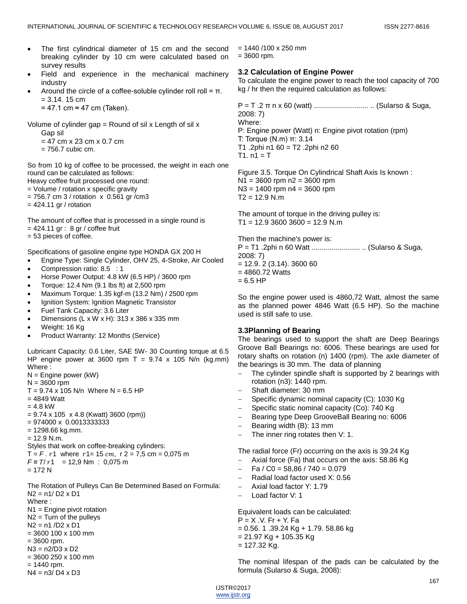- The first cylindrical diameter of 15 cm and the second breaking cylinder by 10 cm were calculated based on survey results
	- Field and experience in the mechanical machinery industry
	- Around the circle of a coffee-soluble cylinder roll roll =  $\pi$ .  $= 3.14. 15 cm$

 $= 47.1$  cm  $\approx 47$  cm (Taken).

Volume of cylinder gap = Round of sil x Length of sil x Gap sil

 $= 47$  cm x 23 cm x 0.7 cm

 $= 756.7$  cubic cm.

So from 10 kg of coffee to be processed, the weight in each one round can be calculated as follows: Heavy coffee fruit processed one round:

= Volume / rotation x specific gravity

 $= 756.7$  cm 3 / rotation  $\times$  0.561 gr /cm3

 $= 424.11$  gr / rotation

The amount of coffee that is processed in a single round is  $= 424.11$  gr : 8 gr / coffee fruit = 53 pieces of coffee.

Specifications of gasoline engine type HONDA GX 200 H

- Engine Type: Single Cylinder, OHV 25, 4-Stroke, Air Cooled
- Compression ratio: 8.5 : 1
- Horse Power Output: 4.8 kW (6.5 HP) / 3600 rpm
- Torque: 12.4 Nm (9.1 lbs ft) at 2,500 rpm
- Maximum Torque: 1.35 kgf-m (13.2 Nm) / 2500 rpm
- Ignition System: Ignition Magnetic Transistor
- Fuel Tank Capacity: 3.6 Liter
- Dimensions (L x W x H): 313 x 386 x 335 mm
- Weight: 16 Kg
- Product Warranty: 12 Months (Service)

Lubricant Capacity: 0.6 Liter, SAE 5W- 30 Counting torque at 6.5 HP engine power at 3600 rpm T =  $9.74 \times 105$  N/n (kg.mm) Where :

N = Engine power (kW)  $N = 3600$  rpm

 $T = 9.74 \times 105$  N/n Where N = 6.5 HP

- $= 4849$  Watt  $= 4.8$  kW
- $= 9.74 \times 105 \times 4.8$  (Kwatt) 3600 (rpm))
- $= 974000 \times 0.0013333333$
- $= 1298.66$  kg.mm.
- $= 12.9$  N.m.
- Styles that work on coffee-breaking cylinders:

 $T = F \cdot r1$  where  $r1 = 15$  cm,  $r 2 = 7.5$  cm = 0,075 m  $F = T/r1 = 12.9$  Nm : 0,075 m  $= 172 N$ 

The Rotation of Pulleys Can Be Determined Based on Formula: N2 = n1/ D2 x D1 Where : N1 = Engine pivot rotation  $N2$  = Turn of the pullevs N2 = n1 /D2 x D1 = 3600 100 x 100 mm  $= 3600$  rpm. N3 = n2/D3 x D2 = 3600 250 x 100 mm  $= 1440$  rpm.

N4 = n3/ D4 x D3

 $= 1440 / 100 \times 250$  mm  $= 3600$  rpm.

# **3.2 Calculation of Engine Power**

To calculate the engine power to reach the tool capacity of 700 kg / hr then the required calculation as follows:

P = T .2 π n x 60 (watt) ........................... .. (Sularso & Suga, 2008: 7) Where: P: Engine power (Watt) n: Engine pivot rotation (rpm) T: Torque (N.m) π: 3.14 T1 .2phi n1 60 = T2 .2phi n2 60  $T1. n1 = T$ 

Figure 3.5. Torque On Cylindrical Shaft Axis Is known :  $N1 = 3600$  rpm  $n2 = 3600$  rpm  $N3 = 1400$  rpm  $n4 = 3600$  rpm  $T2 = 12.9$  N.m

The amount of torque in the driving pulley is:  $T1 = 12.9$  3600 3600 = 12.9 N.m

Then the machine's power is:

P = T1 .2phi n 60 Watt ........................ .. (Sularso & Suga, 2008: 7)  $= 12.9.2 (3.14).3600 60$ 

- $= 4860.72$  Watts
- $= 6.5$  HP

So the engine power used is 4860,72 Watt, almost the same as the planned power 4846 Watt (6.5 HP). So the machine used is still safe to use.

### **3.3Planning of Bearing**

The bearings used to support the shaft are Deep Bearings Groove Ball Bearings no: 6006. These bearings are used for rotary shafts on rotation (n) 1400 (rpm). The axle diameter of the bearings is 30 mm. The data of planning

- The cylinder spindle shaft is supported by 2 bearings with rotation (n3): 1440 rpm.
- Shaft diameter: 30 mm
- Specific dynamic nominal capacity (C): 1030 Kg
- Specific static nominal capacity (Co): 740 Kg
- Bearing type Deep GrooveBall Bearing no: 6006
- Bearing width (B): 13 mm
- The inner ring rotates then V: 1.

The radial force (Fr) occurring on the axis is 39.24 Kg

- Axial force (Fa) that occurs on the axis: 58.86 Kg
- Fa / C0 = 58,86 / 740 = 0.079
- Radial load factor used X: 0.56
- Axial load factor Y: 1.79
- Load factor V: 1

Equivalent loads can be calculated: P = X .V. Fr + Y. Fa  $= 0.56$ . 1 .39.24 Kg + 1.79. 58.86 kg  $= 21.97$  Kg + 105.35 Kg  $= 127.32$  Kg.

The nominal lifespan of the pads can be calculated by the formula (Sularso & Suga, 2008):